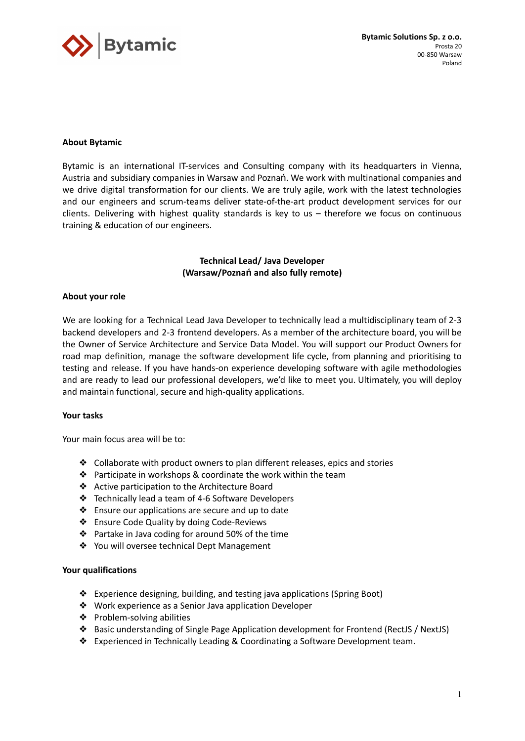

# **About Bytamic**

Bytamic is an international IT-services and Consulting company with its headquarters in Vienna, Austria and subsidiary companies in Warsaw and Poznań. We work with multinational companies and we drive digital transformation for our clients. We are truly agile, work with the latest technologies and our engineers and scrum-teams deliver state-of-the-art product development services for our clients. Delivering with highest quality standards is key to us – therefore we focus on continuous training & education of our engineers.

# **Technical Lead/ Java Developer (Warsaw/Poznań and also fully remote)**

## **About your role**

We are looking for a Technical Lead Java Developer to technically lead a multidisciplinary team of 2-3 backend developers and 2-3 frontend developers. As a member of the architecture board, you will be the Owner of Service Architecture and Service Data Model. You will support our Product Owners for road map definition, manage the software development life cycle, from planning and prioritising to testing and release. If you have hands-on experience developing software with agile methodologies and are ready to lead our professional developers, we'd like to meet you. Ultimately, you will deploy and maintain functional, secure and high-quality applications.

## **Your tasks**

Your main focus area will be to:

- ❖ Collaborate with product owners to plan different releases, epics and stories
- ❖ Participate in workshops & coordinate the work within the team
- ❖ Active participation to the Architecture Board
- ❖ Technically lead a team of 4-6 Software Developers
- ❖ Ensure our applications are secure and up to date
- ❖ Ensure Code Quality by doing Code-Reviews
- ❖ Partake in Java coding for around 50% of the time
- ❖ You will oversee technical Dept Management

## **Your qualifications**

- ❖ Experience designing, building, and testing java applications (Spring Boot)
- ❖ Work experience as a Senior Java application Developer
- ❖ Problem-solving abilities
- ❖ Basic understanding of Single Page Application development for Frontend (RectJS / NextJS)
- ❖ Experienced in Technically Leading & Coordinating a Software Development team.